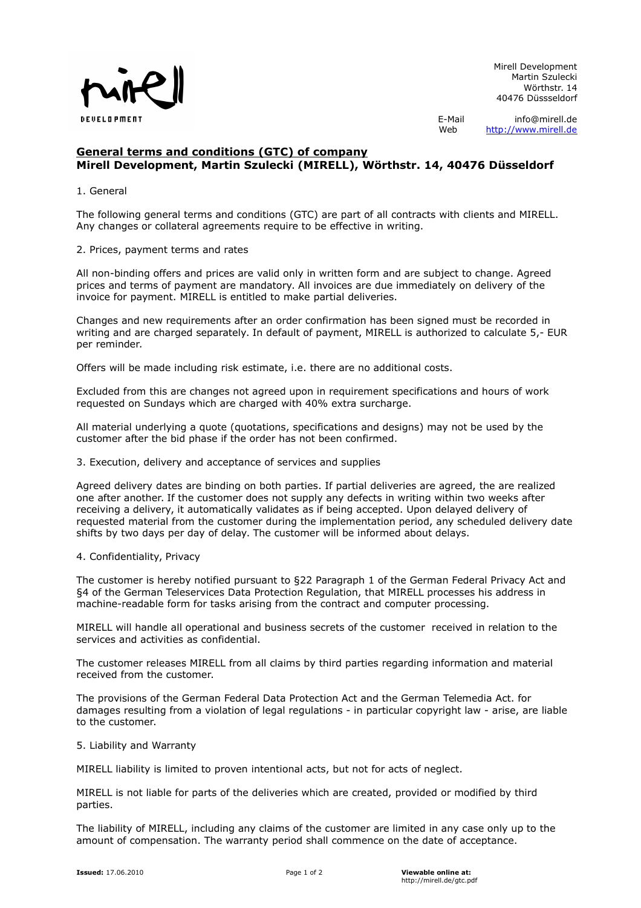

Mirell Development Martin Szulecki Wörthstr. 14 40476 Düssseldorf

E-Mail info@mirell.de Web [http://www.mirell.de](http://www.mirell.de/)

# **General terms and conditions (GTC) of company Mirell Development, Martin Szulecki (MIRELL), Wörthstr. 14, 40476 Düsseldorf**

# 1. General

The following general terms and conditions (GTC) are part of all contracts with clients and MIRELL. Any changes or collateral agreements require to be effective in writing.

# 2. Prices, payment terms and rates

All non-binding offers and prices are valid only in written form and are subject to change. Agreed prices and terms of payment are mandatory. All invoices are due immediately on delivery of the invoice for payment. MIRELL is entitled to make partial deliveries.

Changes and new requirements after an order confirmation has been signed must be recorded in writing and are charged separately. In default of payment, MIRELL is authorized to calculate 5,- EUR per reminder.

Offers will be made including risk estimate, i.e. there are no additional costs.

Excluded from this are changes not agreed upon in requirement specifications and hours of work requested on Sundays which are charged with 40% extra surcharge.

All material underlying a quote (quotations, specifications and designs) may not be used by the customer after the bid phase if the order has not been confirmed.

#### 3. Execution, delivery and acceptance of services and supplies

Agreed delivery dates are binding on both parties. If partial deliveries are agreed, the are realized one after another. If the customer does not supply any defects in writing within two weeks after receiving a delivery, it automatically validates as if being accepted. Upon delayed delivery of requested material from the customer during the implementation period, any scheduled delivery date shifts by two days per day of delay. The customer will be informed about delays.

#### 4. Confidentiality, Privacy

The customer is hereby notified pursuant to §22 Paragraph 1 of the German Federal Privacy Act and §4 of the German Teleservices Data Protection Regulation, that MIRELL processes his address in machine-readable form for tasks arising from the contract and computer processing.

MIRELL will handle all operational and business secrets of the customer received in relation to the services and activities as confidential.

The customer releases MIRELL from all claims by third parties regarding information and material received from the customer.

The provisions of the German Federal Data Protection Act and the German Telemedia Act. for damages resulting from a violation of legal regulations - in particular copyright law - arise, are liable to the customer.

## 5. Liability and Warranty

MIRELL liability is limited to proven intentional acts, but not for acts of neglect.

MIRELL is not liable for parts of the deliveries which are created, provided or modified by third parties.

The liability of MIRELL, including any claims of the customer are limited in any case only up to the amount of compensation. The warranty period shall commence on the date of acceptance.